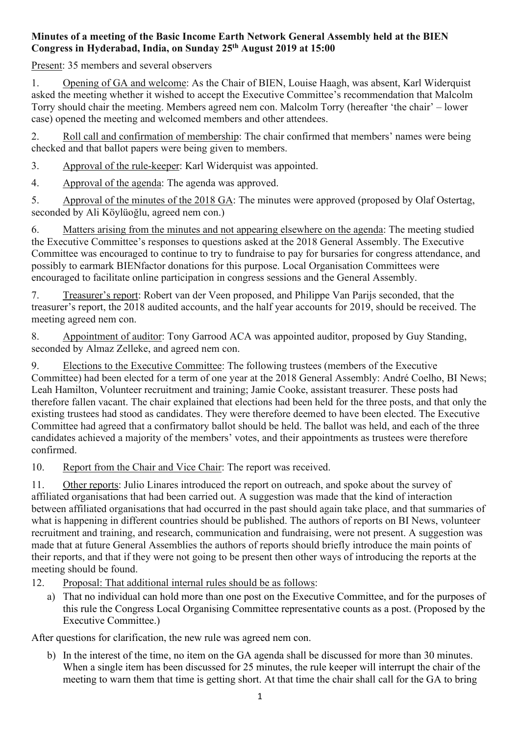## **Minutes of a meeting of the Basic Income Earth Network General Assembly held at the BIEN Congress in Hyderabad, India, on Sunday 25th August 2019 at 15:00**

Present: 35 members and several observers

1. Opening of GA and welcome: As the Chair of BIEN, Louise Haagh, was absent, Karl Widerquist asked the meeting whether it wished to accept the Executive Committee's recommendation that Malcolm Torry should chair the meeting. Members agreed nem con. Malcolm Torry (hereafter 'the chair' – lower case) opened the meeting and welcomed members and other attendees.

2. Roll call and confirmation of membership: The chair confirmed that members' names were being checked and that ballot papers were being given to members.

3. Approval of the rule-keeper: Karl Widerquist was appointed.

4. Approval of the agenda: The agenda was approved.

5. Approval of the minutes of the 2018 GA: The minutes were approved (proposed by Olaf Ostertag, seconded by Ali Köylüoğlu, agreed nem con.)

6. Matters arising from the minutes and not appearing elsewhere on the agenda: The meeting studied the Executive Committee's responses to questions asked at the 2018 General Assembly. The Executive Committee was encouraged to continue to try to fundraise to pay for bursaries for congress attendance, and possibly to earmark BIENfactor donations for this purpose. Local Organisation Committees were encouraged to facilitate online participation in congress sessions and the General Assembly.

7. Treasurer's report: Robert van der Veen proposed, and Philippe Van Parijs seconded, that the treasurer's report, the 2018 audited accounts, and the half year accounts for 2019, should be received. The meeting agreed nem con.

8. Appointment of auditor: Tony Garrood ACA was appointed auditor, proposed by Guy Standing, seconded by Almaz Zelleke, and agreed nem con.

9. Elections to the Executive Committee: The following trustees (members of the Executive Committee) had been elected for a term of one year at the 2018 General Assembly: André Coelho, BI News; Leah Hamilton, Volunteer recruitment and training; Jamie Cooke, assistant treasurer. These posts had therefore fallen vacant. The chair explained that elections had been held for the three posts, and that only the existing trustees had stood as candidates. They were therefore deemed to have been elected. The Executive Committee had agreed that a confirmatory ballot should be held. The ballot was held, and each of the three candidates achieved a majority of the members' votes, and their appointments as trustees were therefore confirmed.

10. Report from the Chair and Vice Chair: The report was received.

11. Other reports: Julio Linares introduced the report on outreach, and spoke about the survey of affiliated organisations that had been carried out. A suggestion was made that the kind of interaction between affiliated organisations that had occurred in the past should again take place, and that summaries of what is happening in different countries should be published. The authors of reports on BI News, volunteer recruitment and training, and research, communication and fundraising, were not present. A suggestion was made that at future General Assemblies the authors of reports should briefly introduce the main points of their reports, and that if they were not going to be present then other ways of introducing the reports at the meeting should be found.

12. Proposal: That additional internal rules should be as follows:

a) That no individual can hold more than one post on the Executive Committee, and for the purposes of this rule the Congress Local Organising Committee representative counts as a post. (Proposed by the Executive Committee.)

After questions for clarification, the new rule was agreed nem con.

b) In the interest of the time, no item on the GA agenda shall be discussed for more than 30 minutes. When a single item has been discussed for 25 minutes, the rule keeper will interrupt the chair of the meeting to warn them that time is getting short. At that time the chair shall call for the GA to bring